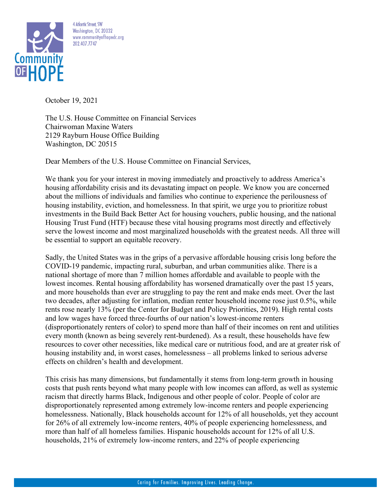

4 Atlantic Street, SW Washington, DC 20032 www.communityofhopedc.org 202.407.7747

October 19, 2021

The U.S. House Committee on Financial Services Chairwoman Maxine Waters 2129 Rayburn House Office Building Washington, DC 20515

Dear Members of the U.S. House Committee on Financial Services,

We thank you for your interest in moving immediately and proactively to address America's housing affordability crisis and its devastating impact on people. We know you are concerned about the millions of individuals and families who continue to experience the perilousness of housing instability, eviction, and homelessness. In that spirit, we urge you to prioritize robust investments in the Build Back Better Act for housing vouchers, public housing, and the national Housing Trust Fund (HTF) because these vital housing programs most directly and effectively serve the lowest income and most marginalized households with the greatest needs. All three will be essential to support an equitable recovery.

Sadly, the United States was in the grips of a pervasive affordable housing crisis long before the COVID-19 pandemic, impacting rural, suburban, and urban communities alike. There is a national shortage of more than 7 million homes affordable and available to people with the lowest incomes. Rental housing affordability has worsened dramatically over the past 15 years, and more households than ever are struggling to pay the rent and make ends meet. Over the last two decades, after adjusting for inflation, median renter household income rose just 0.5%, while rents rose nearly 13% (per the Center for Budget and Policy Priorities, 2019). High rental costs and low wages have forced three-fourths of our nation's lowest-income renters (disproportionately renters of color) to spend more than half of their incomes on rent and utilities every month (known as being severely rent-burdened). As a result, these households have few resources to cover other necessities, like medical care or nutritious food, and are at greater risk of housing instability and, in worst cases, homelessness – all problems linked to serious adverse effects on children's health and development.

This crisis has many dimensions, but fundamentally it stems from long-term growth in housing costs that push rents beyond what many people with low incomes can afford, as well as systemic racism that directly harms Black, Indigenous and other people of color. People of color are disproportionately represented among extremely low-income renters and people experiencing homelessness. Nationally, Black households account for 12% of all households, yet they account for 26% of all extremely low-income renters, 40% of people experiencing homelessness, and more than half of all homeless families. Hispanic households account for 12% of all U.S. households, 21% of extremely low-income renters, and 22% of people experiencing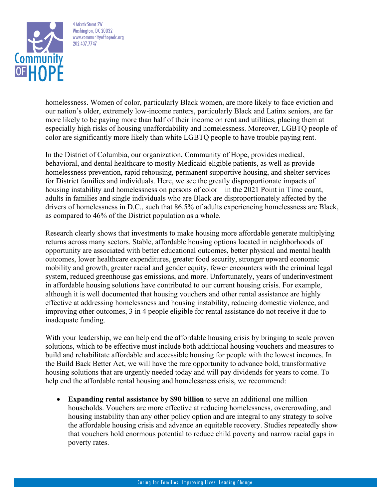

4 Atlantic Street, SW Washington, DC 20032 www.communityofhopedc.org 202.407.7747

homelessness. Women of color, particularly Black women, are more likely to face eviction and our nation's older, extremely low-income renters, particularly Black and Latinx seniors, are far more likely to be paying more than half of their income on rent and utilities, placing them at especially high risks of housing unaffordability and homelessness. Moreover, LGBTQ people of color are significantly more likely than white LGBTQ people to have trouble paying rent.

In the District of Columbia, our organization, Community of Hope, provides medical, behavioral, and dental healthcare to mostly Medicaid-eligible patients, as well as provide homelessness prevention, rapid rehousing, permanent supportive housing, and shelter services for District families and individuals. Here, we see the greatly disproportionate impacts of housing instability and homelessness on persons of color – in the 2021 Point in Time count, adults in families and single individuals who are Black are disproportionately affected by the drivers of homelessness in D.C., such that 86.5% of adults experiencing homelessness are Black, as compared to 46% of the District population as a whole.

Research clearly shows that investments to make housing more affordable generate multiplying returns across many sectors. Stable, affordable housing options located in neighborhoods of opportunity are associated with better educational outcomes, better physical and mental health outcomes, lower healthcare expenditures, greater food security, stronger upward economic mobility and growth, greater racial and gender equity, fewer encounters with the criminal legal system, reduced greenhouse gas emissions, and more. Unfortunately, years of underinvestment in affordable housing solutions have contributed to our current housing crisis. For example, although it is well documented that housing vouchers and other rental assistance are highly effective at addressing homelessness and housing instability, reducing domestic violence, and improving other outcomes, 3 in 4 people eligible for rental assistance do not receive it due to inadequate funding.

With your leadership, we can help end the affordable housing crisis by bringing to scale proven solutions, which to be effective must include both additional housing vouchers and measures to build and rehabilitate affordable and accessible housing for people with the lowest incomes. In the Build Back Better Act, we will have the rare opportunity to advance bold, transformative housing solutions that are urgently needed today and will pay dividends for years to come. To help end the affordable rental housing and homelessness crisis, we recommend:

• **Expanding rental assistance by \$90 billion** to serve an additional one million households. Vouchers are more effective at reducing homelessness, overcrowding, and housing instability than any other policy option and are integral to any strategy to solve the affordable housing crisis and advance an equitable recovery. Studies repeatedly show that vouchers hold enormous potential to reduce child poverty and narrow racial gaps in poverty rates.